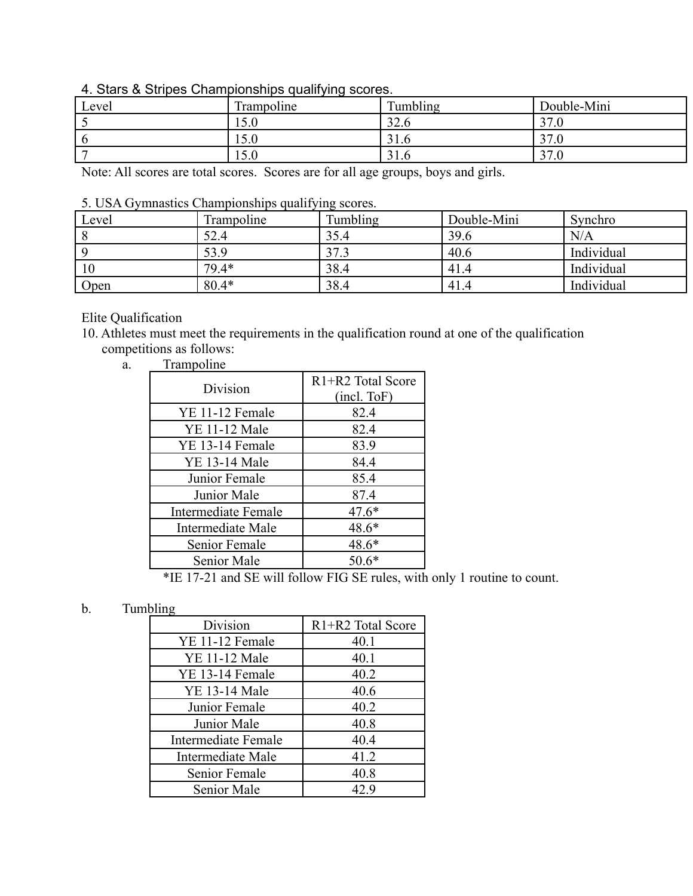## 4. Stars & Stripes Championships qualifying scores.

| Level | Trampoline                   | Tumbling            | Double-Mini                    |
|-------|------------------------------|---------------------|--------------------------------|
|       | $\epsilon$ $\alpha$<br>1.0.0 | $\Omega$<br>ں کے ب  | 37.0                           |
|       | 50<br>10.U                   | $^{\sim}$ 1<br>31.0 | 37.0                           |
|       | $\epsilon$<br>10.U           | 31.0                | $\sim$<br>$^{\prime}.0$<br>ا ر |

Note: All scores are total scores. Scores are for all age groups, boys and girls.

## 5. USA Gymnastics Championships qualifying scores.

| Level | Trampoline | Tumbling | Double-Mini | Synchro    |
|-------|------------|----------|-------------|------------|
|       | 52.4       | 35.4     | 39.6        | N/A        |
|       | 53.9       | 37.3     | 40.6        | Individual |
| 10    | 79.4*      | 38.4     | 41.4        | Individual |
| Open  | $80.4*$    | 38.4     | 41.4        | Individual |

Elite Qualification

10. Athletes must meet the requirements in the qualification round at one of the qualification competitions as follows:

a. Trampoline

| Division             | R <sub>1</sub> +R <sub>2</sub> Total Score<br>(incl. ToF) |
|----------------------|-----------------------------------------------------------|
| YE 11-12 Female      | 82.4                                                      |
| <b>YE 11-12 Male</b> | 82.4                                                      |
| YE 13-14 Female      | 83.9                                                      |
| <b>YE 13-14 Male</b> | 84.4                                                      |
| Junior Female        | 85.4                                                      |
| Junior Male          | 87.4                                                      |
| Intermediate Female  | $47.6*$                                                   |
| Intermediate Male    | 48.6*                                                     |
| Senior Female        | 48.6*                                                     |
| Senior Male          | $50.6*$                                                   |

\*IE 17-21 and SE will follow FIG SE rules, with only 1 routine to count.

## b. Tumbling

| Division             | R1+R2 Total Score |  |
|----------------------|-------------------|--|
| YE 11-12 Female      | 40.1              |  |
| <b>YE 11-12 Male</b> | 40.1              |  |
| YE 13-14 Female      | 40.2              |  |
| <b>YE 13-14 Male</b> | 40.6              |  |
| Junior Female        | 40.2              |  |
| Junior Male          | 40.8              |  |
| Intermediate Female  | 40.4              |  |
| Intermediate Male    | 41.2              |  |
| Senior Female        | 40.8              |  |
| Senior Male          | 42.9              |  |